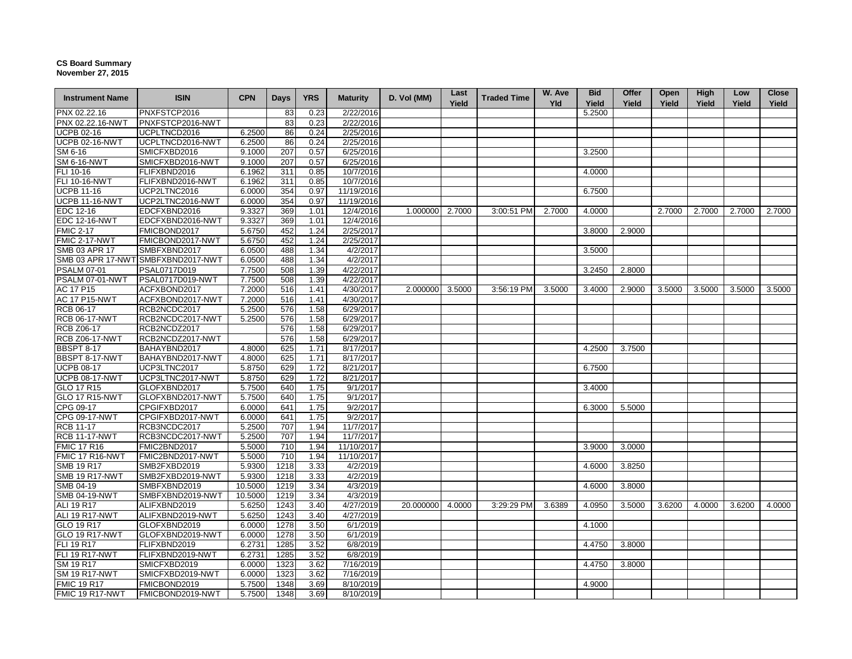## **CS Board Summary November 27, 2015**

| <b>Instrument Name</b> | <b>ISIN</b>                        | <b>CPN</b> | <b>Days</b> | <b>YRS</b> | <b>Maturity</b>        | D. Vol (MM) | Last<br>Yield | <b>Traded Time</b> | W. Ave<br>Yld | <b>Bid</b><br>Yield | <b>Offer</b><br>Yield | Open<br>Yield | High<br>Yield | Low<br>Yield | Close<br>Yield |
|------------------------|------------------------------------|------------|-------------|------------|------------------------|-------------|---------------|--------------------|---------------|---------------------|-----------------------|---------------|---------------|--------------|----------------|
| PNX 02.22.16           | PNXFSTCP2016                       |            | 83          | 0.23       | 2/22/2016              |             |               |                    |               | 5.2500              |                       |               |               |              |                |
| PNX 02.22.16-NWT       | PNXFSTCP2016-NWT                   |            | 83          | 0.23       | 2/22/2016              |             |               |                    |               |                     |                       |               |               |              |                |
| <b>UCPB 02-16</b>      | UCPLTNCD2016                       | 6.2500     | 86          | 0.24       | 2/25/2016              |             |               |                    |               |                     |                       |               |               |              |                |
| <b>UCPB 02-16-NWT</b>  | UCPLTNCD2016-NWT                   | 6.2500     | 86          | 0.24       | 2/25/2016              |             |               |                    |               |                     |                       |               |               |              |                |
| SM 6-16                | SMICFXBD2016                       | 9.1000     | 207         | 0.57       | 6/25/2016              |             |               |                    |               | 3.2500              |                       |               |               |              |                |
| <b>SM 6-16-NWT</b>     | SMICFXBD2016-NWT                   | 9.1000     | 207         | 0.57       | 6/25/2016              |             |               |                    |               |                     |                       |               |               |              |                |
| FLI 10-16              | FLIFXBND2016                       | 6.1962     | 311         | 0.85       | 10/7/2016              |             |               |                    |               | 4.0000              |                       |               |               |              |                |
| <b>FLI 10-16-NWT</b>   | FLIFXBND2016-NWT                   | 6.1962     | 311         | 0.85       | 10/7/2016              |             |               |                    |               |                     |                       |               |               |              |                |
| <b>UCPB 11-16</b>      | UCP2LTNC2016                       | 6.0000     | 354         | 0.97       | 11/19/2016             |             |               |                    |               | 6.7500              |                       |               |               |              |                |
| <b>UCPB 11-16-NWT</b>  | UCP2LTNC2016-NWT                   | 6.0000     | 354         | 0.97       | 11/19/2016             |             |               |                    |               |                     |                       |               |               |              |                |
| EDC 12-16              | EDCFXBND2016                       | 9.3327     | 369         | 1.01       | 12/4/2016              | 1.000000    | 2.7000        | 3:00:51 PM         | 2.7000        | 4.0000              |                       | 2.7000        | 2.7000        | 2.7000       | 2.7000         |
| <b>EDC 12-16-NWT</b>   | EDCFXBND2016-NWT                   | 9.3327     | 369         | 1.01       | 12/4/2016              |             |               |                    |               |                     |                       |               |               |              |                |
| <b>FMIC 2-17</b>       | FMICBOND2017                       | 5.6750     | 452         | 1.24       | 2/25/2017              |             |               |                    |               | 3.8000              | 2.9000                |               |               |              |                |
| FMIC 2-17-NWT          | FMICBOND2017-NWT                   | 5.6750     | 452         | 1.24       | 2/25/2017              |             |               |                    |               |                     |                       |               |               |              |                |
| SMB 03 APR 17          | SMBFXBND2017                       | 6.0500     | 488         | 1.34       | 4/2/2017               |             |               |                    |               | 3.5000              |                       |               |               |              |                |
|                        | SMB 03 APR 17-NWT SMBFXBND2017-NWT | 6.0500     | 488         | 1.34       | 4/2/2017               |             |               |                    |               |                     |                       |               |               |              |                |
| <b>PSALM 07-01</b>     | PSAL0717D019                       | 7.7500     | 508         | 1.39       | 4/22/2017              |             |               |                    |               | 3.2450              | 2.8000                |               |               |              |                |
| PSALM 07-01-NWT        | PSAL0717D019-NWT                   | 7.7500     | 508         | 1.39       | 4/22/2017              |             |               |                    |               |                     |                       |               |               |              |                |
| <b>AC 17 P15</b>       | ACFXBOND2017                       | 7.2000     | 516         | 1.41       | 4/30/2017              | 2.000000    | 3.5000        | 3:56:19 PM         | 3.5000        | 3.4000              | 2.9000                | 3.5000        | 3.5000        | 3.5000       | 3.5000         |
| <b>AC 17 P15-NWT</b>   | ACFXBOND2017-NWT                   | 7.2000     | 516         | 1.41       | 4/30/2017              |             |               |                    |               |                     |                       |               |               |              |                |
| RCB 06-17              | RCB2NCDC2017                       | 5.2500     | 576         | 1.58       | 6/29/2017              |             |               |                    |               |                     |                       |               |               |              |                |
| <b>RCB 06-17-NWT</b>   | RCB2NCDC2017-NWT                   | 5.2500     | 576         | 1.58       | $\sqrt{6}/29/2017$     |             |               |                    |               |                     |                       |               |               |              |                |
| <b>RCB Z06-17</b>      | RCB2NCDZ2017                       |            | 576         | 1.58       | 6/29/2017              |             |               |                    |               |                     |                       |               |               |              |                |
| <b>RCB Z06-17-NWT</b>  | RCB2NCDZ2017-NWT                   |            | 576         | 1.58       | 6/29/2017              |             |               |                    |               |                     |                       |               |               |              |                |
| <b>BBSPT 8-17</b>      | BAHAYBND2017                       | 4.8000     | 625         | 1.71       | 8/17/2017              |             |               |                    |               | 4.2500              | 3.7500                |               |               |              |                |
| BBSPT 8-17-NWT         | BAHAYBND2017-NWT                   | 4.8000     | 625         | 1.71       | 8/17/2017              |             |               |                    |               |                     |                       |               |               |              |                |
| <b>UCPB 08-17</b>      | UCP3LTNC2017                       | 5.8750     | 629         | 1.72       | 8/21/2017              |             |               |                    |               | 6.7500              |                       |               |               |              |                |
| <b>UCPB 08-17-NWT</b>  | UCP3LTNC2017-NWT                   | 5.8750     | 629         | 1.72       | 8/21/2017              |             |               |                    |               |                     |                       |               |               |              |                |
| GLO 17 R15             | GLOFXBND2017                       | 5.7500     | 640         | 1.75       | 9/1/2017               |             |               |                    |               | 3.4000              |                       |               |               |              |                |
| GLO 17 R15-NWT         | GLOFXBND2017-NWT                   | 5.7500     | 640         | 1.75       | 9/1/2017               |             |               |                    |               |                     |                       |               |               |              |                |
| CPG 09-17              | CPGIFXBD2017                       | 6.0000     | 641         | 1.75       | 9/2/2017               |             |               |                    |               | 6.3000              | 5.5000                |               |               |              |                |
| CPG 09-17-NWT          | CPGIFXBD2017-NWT                   | 6.0000     | 641         | 1.75       | 9/2/2017               |             |               |                    |               |                     |                       |               |               |              |                |
| <b>RCB 11-17</b>       | RCB3NCDC2017                       | 5.2500     | 707         | 1.94       | 11/7/2017              |             |               |                    |               |                     |                       |               |               |              |                |
| <b>RCB 11-17-NWT</b>   | RCB3NCDC2017-NWT                   | 5.2500     | 707         | 1.94       | 11/7/2017              |             |               |                    |               |                     |                       |               |               |              |                |
| <b>FMIC 17 R16</b>     | FMIC2BND2017                       | 5.5000     | 710         | 1.94       | 11/10/2017             |             |               |                    |               | 3.9000              | 3.0000                |               |               |              |                |
| FMIC 17 R16-NWT        | FMIC2BND2017-NWT                   | 5.5000     | 710         | 1.94       | 11/10/2017             |             |               |                    |               |                     |                       |               |               |              |                |
| <b>SMB 19 R17</b>      | SMB2FXBD2019                       | 5.9300     | 1218        | 3.33       | 4/2/2019               |             |               |                    |               | 4.6000              | 3.8250                |               |               |              |                |
| <b>SMB 19 R17-NWT</b>  | SMB2FXBD2019-NWT                   | 5.9300     | 1218        | 3.33       | 4/2/2019               |             |               |                    |               |                     |                       |               |               |              |                |
| SMB 04-19              | SMBFXBND2019                       | 10.5000    | 1219        | 3.34       | 4/3/2019               |             |               |                    |               | 4.6000              | 3.8000                |               |               |              |                |
| <b>SMB 04-19-NWT</b>   | SMBFXBND2019-NWT                   | 10.5000    | 1219        | 3.34       | 4/3/2019               |             |               |                    |               |                     |                       |               |               |              |                |
| ALI 19 R17             | ALIFXBND2019                       | 5.6250     | 1243        | 3.40       | 4/27/2019              | 20.000000   | 4.0000        | 3:29:29 PM         | 3.6389        | 4.0950              | 3.5000                | 3.6200        | 4.0000        | 3.6200       | 4.0000         |
| <b>ALI 19 R17-NWT</b>  | ALIFXBND2019-NWT                   | 5.6250     | 1243        | 3.40       | 4/27/2019              |             |               |                    |               |                     |                       |               |               |              |                |
| GLO 19 R17             | GLOFXBND2019                       | 6.0000     | 1278        | 3.50       | 6/1/2019               |             |               |                    |               | 4.1000              |                       |               |               |              |                |
| <b>GLO 19 R17-NWT</b>  | GLOFXBND2019-NWT                   | 6.0000     | 1278        | 3.50       | 6/1/2019               |             |               |                    |               |                     |                       |               |               |              |                |
| <b>FLI 19 R17</b>      | FLIFXBND2019                       | 6.2731     | 1285        | 3.52       | 6/8/2019               |             |               |                    |               | 4.4750              | 3.8000                |               |               |              |                |
| <b>FLI 19 R17-NWT</b>  | FLIFXBND2019-NWT                   | 6.2731     | 1285        | 3.52       | 6/8/2019               |             |               |                    |               |                     |                       |               |               |              |                |
| SM 19 R17              | SMICFXBD2019                       | 6.0000     | 1323        | 3.62       | 7/16/2019              |             |               |                    |               | 4.4750              | 3.8000                |               |               |              |                |
| <b>SM 19 R17-NWT</b>   | SMICFXBD2019-NWT                   | 6.0000     | 1323        | 3.62       | $\overline{7/16/2019}$ |             |               |                    |               |                     |                       |               |               |              |                |
| <b>FMIC 19 R17</b>     | FMICBOND2019                       | 5.7500     | 1348        | 3.69       | 8/10/2019              |             |               |                    |               | 4.9000              |                       |               |               |              |                |
| FMIC 19 R17-NWT        | FMICBOND2019-NWT                   | 5.7500     | 1348        | 3.69       | 8/10/2019              |             |               |                    |               |                     |                       |               |               |              |                |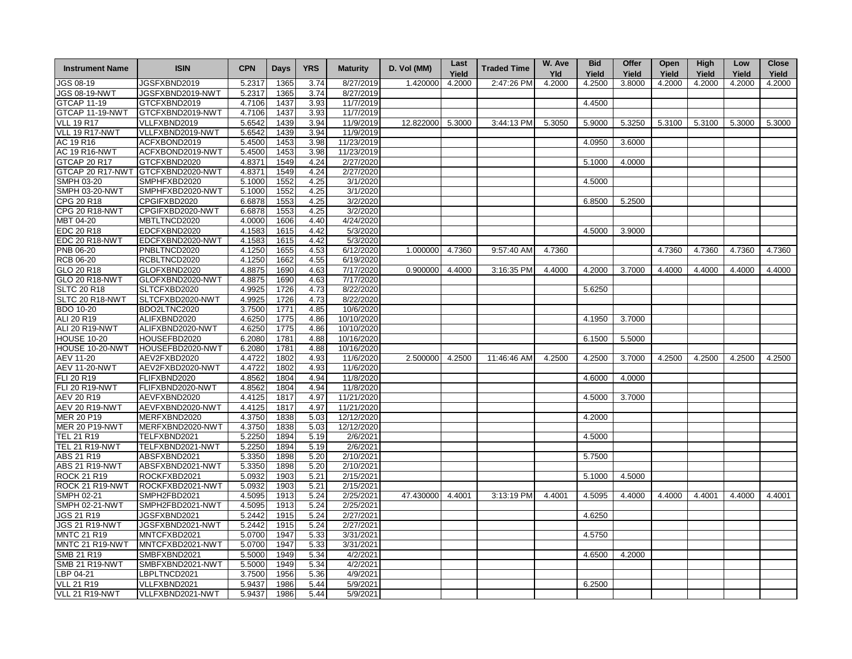| <b>Instrument Name</b>       | <b>ISIN</b>                       | <b>CPN</b>       | <b>Days</b>  | <b>YRS</b>   | <b>Maturity</b>         | D. Vol (MM) | Last   | <b>Traded Time</b> | W. Ave | <b>Bid</b> | Offer  | Open   | High   | Low    | <b>Close</b> |
|------------------------------|-----------------------------------|------------------|--------------|--------------|-------------------------|-------------|--------|--------------------|--------|------------|--------|--------|--------|--------|--------------|
|                              |                                   |                  |              |              |                         |             | Yield  |                    | Yld    | Yield      | Yield  | Yield  | Yield  | Yield  | Yield        |
| JGS 08-19                    | JGSFXBND2019                      | 5.2317           | 1365         | 3.74         | 8/27/2019               | 1.420000    | 4.2000 | 2:47:26 PM         | 4.2000 | 4.2500     | 3.8000 | 4.2000 | 4.2000 | 4.2000 | 4.2000       |
| <b>JGS 08-19-NWT</b>         | JGSFXBND2019-NWT                  | 5.2317           | 1365         | 3.74         | 8/27/2019               |             |        |                    |        |            |        |        |        |        |              |
| <b>GTCAP 11-19</b>           | GTCFXBND2019                      | 4.7106           | 1437         | 3.93         | 11/7/2019               |             |        |                    |        | 4.4500     |        |        |        |        |              |
| GTCAP 11-19-NWT              | GTCFXBND2019-NWT                  | 4.7106           | 1437         | 3.93         | 11/7/2019               |             |        |                    |        |            |        |        |        |        |              |
| <b>VLL 19 R17</b>            | VLLFXBND2019                      | 5.6542<br>5.6542 | 1439<br>1439 | 3.94         | 11/9/2019               | 12.822000   | 5.3000 | 3:44:13 PM         | 5.3050 | 5.9000     | 5.3250 | 5.3100 | 5.3100 | 5.3000 | 5.3000       |
| VLL 19 R17-NWT<br>AC 19 R16  | VLLFXBND2019-NWT<br>ACFXBOND2019  | 5.4500           | 1453         | 3.94<br>3.98 | 11/9/2019<br>11/23/2019 |             |        |                    |        | 4.0950     | 3.6000 |        |        |        |              |
| <b>AC 19 R16-NWT</b>         | ACFXBOND2019-NWT                  | 5.4500           | 1453         | 3.98         | 11/23/2019              |             |        |                    |        |            |        |        |        |        |              |
| <b>GTCAP 20 R17</b>          | GTCFXBND2020                      | 4.8371           | 1549         | 4.24         | 2/27/2020               |             |        |                    |        | 5.1000     | 4.0000 |        |        |        |              |
|                              | GTCAP 20 R17-NWT GTCFXBND2020-NWT | 4.8371           | 1549         | 4.24         | 2/27/2020               |             |        |                    |        |            |        |        |        |        |              |
| SMPH 03-20                   | SMPHFXBD2020                      | 5.1000           | 1552         | 4.25         | 3/1/2020                |             |        |                    |        | 4.5000     |        |        |        |        |              |
| <b>SMPH 03-20-NWT</b>        | SMPHFXBD2020-NWT                  | 5.1000           | 1552         | 4.25         | 3/1/2020                |             |        |                    |        |            |        |        |        |        |              |
| CPG 20 R18                   | CPGIFXBD2020                      | 6.6878           | 1553         | 4.25         | 3/2/2020                |             |        |                    |        | 6.8500     | 5.2500 |        |        |        |              |
| CPG 20 R18-NWT               | CPGIFXBD2020-NWT                  | 6.6878           | 1553         | 4.25         | 3/2/2020                |             |        |                    |        |            |        |        |        |        |              |
| MBT 04-20                    | MBTLTNCD2020                      | 4.0000           | 1606         | 4.40         | 4/24/2020               |             |        |                    |        |            |        |        |        |        |              |
| EDC 20 R18                   | EDCFXBND2020                      | 4.1583           | 1615         | 4.42         | 5/3/2020                |             |        |                    |        | 4.5000     | 3.9000 |        |        |        |              |
| EDC 20 R18-NWT               | EDCFXBND2020-NWT                  | 4.1583           | 1615         | 4.42         | 5/3/2020                |             |        |                    |        |            |        |        |        |        |              |
| PNB 06-20                    | PNBLTNCD2020                      | 4.1250           | 1655         | 4.53         | 6/12/2020               | 1.000000    | 4.7360 | 9:57:40 AM         | 4.7360 |            |        | 4.7360 | 4.7360 | 4.7360 | 4.7360       |
| <b>RCB 06-20</b>             | RCBLTNCD2020                      | 4.1250           | 1662         | 4.55         | 6/19/2020               |             |        |                    |        |            |        |        |        |        |              |
| GLO 20 R18                   | GLOFXBND2020                      | 4.8875           | 1690         | 4.63         | 7/17/2020               | 0.900000    | 4.4000 | 3:16:35 PM         | 4.4000 | 4.2000     | 3.7000 | 4.4000 | 4.4000 | 4.4000 | 4.4000       |
| <b>GLO 20 R18-NWT</b>        | GLOFXBND2020-NWT                  | 4.8875           | 1690         | 4.63         | 7/17/2020               |             |        |                    |        |            |        |        |        |        |              |
| <b>SLTC 20 R18</b>           | SLTCFXBD2020                      | 4.9925           | 1726         | 4.73         | 8/22/2020               |             |        |                    |        | 5.6250     |        |        |        |        |              |
| SLTC 20 R18-NWT              | SLTCFXBD2020-NWT                  | 4.9925           | 1726         | 4.73         | 8/22/2020               |             |        |                    |        |            |        |        |        |        |              |
| <b>BDO 10-20</b>             | BDO2LTNC2020                      | 3.7500           | 1771         | 4.85         | 10/6/2020               |             |        |                    |        |            |        |        |        |        |              |
| ALI 20 R19                   | ALIFXBND2020                      | 4.6250           | 1775         | 4.86         | 10/10/2020              |             |        |                    |        | 4.1950     | 3.7000 |        |        |        |              |
| ALI 20 R19-NWT               | ALIFXBND2020-NWT                  | 4.6250           | 1775         | 4.86         | 10/10/2020              |             |        |                    |        |            |        |        |        |        |              |
| <b>HOUSE 10-20</b>           | HOUSEFBD2020                      | 6.2080           | 1781         | 4.88         | 10/16/2020              |             |        |                    |        | 6.1500     | 5.5000 |        |        |        |              |
| HOUSE 10-20-NWT              | HOUSEFBD2020-NWT                  | 6.2080           | 1781         | 4.88         | 10/16/2020              |             |        |                    |        |            |        |        |        |        |              |
| AEV 11-20                    | AEV2FXBD2020                      | 4.4722           | 1802         | 4.93         | 11/6/2020               | 2.500000    | 4.2500 | 11:46:46 AM        | 4.2500 | 4.2500     | 3.7000 | 4.2500 | 4.2500 | 4.2500 | 4.2500       |
| <b>AEV 11-20-NWT</b>         | AEV2FXBD2020-NWT                  | 4.4722           | 1802         | 4.93         | 11/6/2020               |             |        |                    |        |            |        |        |        |        |              |
| FLI 20 R19                   | FLIFXBND2020                      | 4.8562           | 1804         | 4.94         | 11/8/2020               |             |        |                    |        | 4.6000     | 4.0000 |        |        |        |              |
| <b>FLI 20 R19-NWT</b>        | FLIFXBND2020-NWT                  | 4.8562           | 1804         | 4.94         | 11/8/2020               |             |        |                    |        |            |        |        |        |        |              |
| <b>AEV 20 R19</b>            | AEVFXBND2020                      | 4.4125           | 1817         | 4.97         | 11/21/2020              |             |        |                    |        | 4.5000     | 3.7000 |        |        |        |              |
| AEV 20 R19-NWT               | AEVFXBND2020-NWT                  | 4.4125           | 1817         | 4.97         | 11/21/2020              |             |        |                    |        |            |        |        |        |        |              |
| MER 20 P19                   | MERFXBND2020                      | 4.3750           | 1838         | 5.03         | 12/12/2020              |             |        |                    |        | 4.2000     |        |        |        |        |              |
| <b>MER 20 P19-NWT</b>        | MERFXBND2020-NWT                  | 4.3750           | 1838         | 5.03         | 12/12/2020              |             |        |                    |        |            |        |        |        |        |              |
| TEL 21 R19                   | TELFXBND2021                      | 5.2250           | 1894         | 5.19         | 2/6/2021                |             |        |                    |        | 4.5000     |        |        |        |        |              |
| <b>TEL 21 R19-NWT</b>        | TELFXBND2021-NWT                  | 5.2250           | 1894         | 5.19         | 2/6/2021                |             |        |                    |        |            |        |        |        |        |              |
| ABS 21 R19                   | ABSFXBND2021                      | 5.3350           | 1898         | 5.20         | 2/10/2021               |             |        |                    |        | 5.7500     |        |        |        |        |              |
| <b>ABS 21 R19-NWT</b>        | ABSFXBND2021-NWT                  | 5.3350           | 1898         | 5.20         | 2/10/2021               |             |        |                    |        |            |        |        |        |        |              |
| ROCK 21 R19                  | ROCKFXBD2021                      | 5.0932           | 1903         | 5.21         | 2/15/2021               |             |        |                    |        | 5.1000     | 4.5000 |        |        |        |              |
| ROCK 21 R19-NWT              | ROCKFXBD2021-NWT                  | 5.0932           | 1903         | 5.21         | 2/15/2021               |             |        |                    |        |            |        |        |        |        |              |
| SMPH 02-21<br>SMPH 02-21-NWT | SMPH2FBD2021<br>SMPH2FBD2021-NWT  | 4.5095<br>4.5095 | 1913<br>1913 | 5.24<br>5.24 | 2/25/2021<br>2/25/2021  | 47.430000   | 4.4001 | 3:13:19 PM         | 4.4001 | 4.5095     | 4.4000 | 4.4000 | 4.4001 | 4.4000 | 4.4001       |
| <b>JGS 21 R19</b>            | JGSFXBND2021                      | 5.2442           | 1915         | 5.24         | 2/27/2021               |             |        |                    |        | 4.6250     |        |        |        |        |              |
| <b>JGS 21 R19-NWT</b>        | JGSFXBND2021-NWT                  | 5.2442           | 1915         | 5.24         | 2/27/2021               |             |        |                    |        |            |        |        |        |        |              |
| <b>MNTC 21 R19</b>           | MNTCFXBD2021                      | 5.0700           | 1947         | 5.33         | 3/31/2021               |             |        |                    |        | 4.5750     |        |        |        |        |              |
| MNTC 21 R19-NWT              | MNTCFXBD2021-NWT                  | 5.0700           | 1947         | 5.33         | 3/31/2021               |             |        |                    |        |            |        |        |        |        |              |
| SMB 21 R19                   | SMBFXBND2021                      | 5.5000           | 1949         | 5.34         | 4/2/2021                |             |        |                    |        | 4.6500     | 4.2000 |        |        |        |              |
| <b>SMB 21 R19-NWT</b>        | SMBFXBND2021-NWT                  | 5.5000           | 1949         | 5.34         | 4/2/2021                |             |        |                    |        |            |        |        |        |        |              |
| BP 04-21                     | LBPLTNCD2021                      | 3.7500           | 1956         | 5.36         | 4/9/2021                |             |        |                    |        |            |        |        |        |        |              |
| <b>VLL 21 R19</b>            | VLLFXBND2021                      | 5.9437           | 1986         | 5.44         | 5/9/2021                |             |        |                    |        | 6.2500     |        |        |        |        |              |
| VLL 21 R19-NWT               | VLLFXBND2021-NWT                  | 5.9437           | 1986         | 5.44         | 5/9/2021                |             |        |                    |        |            |        |        |        |        |              |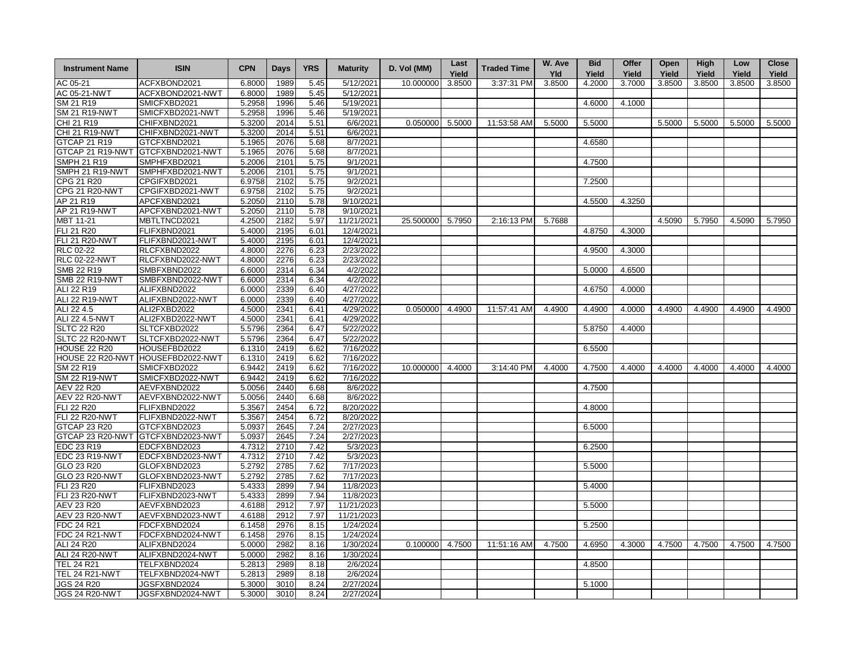| <b>Instrument Name</b>                     | <b>ISIN</b>                       | <b>CPN</b>       | Days         | <b>YRS</b>   | <b>Maturity</b>        | D. Vol (MM) | Last   | <b>Traded Time</b> | W. Ave | <b>Bid</b> | Offer  | Open   | High   | Low    | <b>Close</b> |
|--------------------------------------------|-----------------------------------|------------------|--------------|--------------|------------------------|-------------|--------|--------------------|--------|------------|--------|--------|--------|--------|--------------|
|                                            |                                   |                  |              |              |                        |             | Yield  |                    | Yld    | Yield      | Yield  | Yield  | Yield  | Yield  | Yield        |
| AC 05-21                                   | ACFXBOND2021                      | 6.8000           | 1989         | 5.45         | 5/12/2021              | 10.000000   | 3.8500 | 3:37:31 PM         | 3.8500 | 4.2000     | 3.7000 | 3.8500 | 3.8500 | 3.8500 | 3.8500       |
| AC 05-21-NWT                               | ACFXBOND2021-NWT                  | 6.8000           | 1989         | 5.45         | 5/12/2021              |             |        |                    |        |            |        |        |        |        |              |
| SM 21 R19                                  | SMICFXBD2021                      | 5.2958           | 1996         | 5.46         | 5/19/2021              |             |        |                    |        | 4.6000     | 4.1000 |        |        |        |              |
| <b>SM 21 R19-NWT</b>                       | SMICFXBD2021-NWT                  | 5.2958           | 1996         | 5.46         | 5/19/2021              |             |        |                    |        |            |        |        |        |        |              |
| CHI 21 R19                                 | CHIFXBND2021                      | 5.3200           | 2014         | 5.51         | 6/6/2021               | 0.050000    | 5.5000 | 11:53:58 AM        | 5.5000 | 5.5000     |        | 5.5000 | 5.5000 | 5.5000 | 5.5000       |
| <b>CHI 21 R19-NWT</b>                      | CHIFXBND2021-NWT                  | 5.3200           | 2014         | 5.51         | 6/6/2021               |             |        |                    |        |            |        |        |        |        |              |
| <b>GTCAP 21 R19</b>                        | GTCFXBND2021                      | 5.1965           | 2076         | 5.68         | 8/7/2021               |             |        |                    |        | 4.6580     |        |        |        |        |              |
| GTCAP 21 R19-NWT                           | GTCFXBND2021-NWT                  | 5.1965           | 2076         | 5.68         | 8/7/2021               |             |        |                    |        |            |        |        |        |        |              |
| <b>SMPH 21 R19</b>                         | SMPHFXBD2021                      | 5.2006           | 2101         | 5.75         | 9/1/2021               |             |        |                    |        | 4.7500     |        |        |        |        |              |
| SMPH 21 R19-NWT                            | SMPHFXBD2021-NWT                  | 5.2006           | 2101         | 5.75         | $\sqrt{9}/1/2021$      |             |        |                    |        |            |        |        |        |        |              |
| CPG 21 R20                                 | CPGIFXBD2021                      | 6.9758           | 2102         | 5.75         | 9/2/2021               |             |        |                    |        | 7.2500     |        |        |        |        |              |
| CPG 21 R20-NWT                             | CPGIFXBD2021-NWT                  | 6.9758           | 2102         | 5.75         | 9/2/2021               |             |        |                    |        |            |        |        |        |        |              |
| AP 21 R19                                  | APCFXBND2021                      | 5.2050           | 2110         | 5.78         | 9/10/2021              |             |        |                    |        | 4.5500     | 4.3250 |        |        |        |              |
| AP 21 R19-NWT                              | APCFXBND2021-NWT                  | 5.2050           | 2110         | 5.78         | 9/10/2021              |             |        |                    |        |            |        |        |        |        |              |
| MBT 11-21                                  | MBTLTNCD2021                      | 4.2500           | 2182         | 5.97         | 11/21/2021             | 25.500000   | 5.7950 | 2:16:13 PM         | 5.7688 |            |        | 4.5090 | 5.7950 | 4.5090 | 5.7950       |
| <b>FLI 21 R20</b><br><b>FLI 21 R20-NWT</b> | FLIFXBND2021                      | 5.4000           | 2195         | 6.01         | 12/4/2021<br>12/4/2021 |             |        |                    |        | 4.8750     | 4.3000 |        |        |        |              |
| <b>RLC 02-22</b>                           | FLIFXBND2021-NWT<br>RLCFXBND2022  | 5.4000<br>4.8000 | 2195<br>2276 | 6.01         |                        |             |        |                    |        | 4.9500     |        |        |        |        |              |
| RLC 02-22-NWT                              | RLCFXBND2022-NWT                  | 4.8000           | 2276         | 6.23<br>6.23 | 2/23/2022<br>2/23/2022 |             |        |                    |        |            | 4.3000 |        |        |        |              |
| SMB 22 R19                                 | SMBFXBND2022                      | 6.6000           | 2314         | 6.34         | 4/2/2022               |             |        |                    |        | 5.0000     | 4.6500 |        |        |        |              |
| <b>SMB 22 R19-NWT</b>                      | SMBFXBND2022-NWT                  | 6.6000           | 2314         | 6.34         | 4/2/2022               |             |        |                    |        |            |        |        |        |        |              |
| ALI 22 R19                                 | ALIFXBND2022                      | 6.0000           | 2339         | 6.40         | 4/27/2022              |             |        |                    |        | 4.6750     | 4.0000 |        |        |        |              |
| ALI 22 R19-NWT                             | ALIFXBND2022-NWT                  | 6.0000           | 2339         | 6.40         | 4/27/2022              |             |        |                    |        |            |        |        |        |        |              |
| ALI 22 4.5                                 | ALI2FXBD2022                      | 4.5000           | 2341         | 6.41         | 4/29/2022              | 0.050000    | 4.4900 | 11:57:41 AM        | 4.4900 | 4.4900     | 4.0000 | 4.4900 | 4.4900 | 4.4900 | 4.4900       |
| ALI 22 4.5-NWT                             | ALI2FXBD2022-NWT                  | 4.5000           | 2341         | 6.41         | 4/29/2022              |             |        |                    |        |            |        |        |        |        |              |
| <b>SLTC 22 R20</b>                         | SLTCFXBD2022                      | 5.5796           | 2364         | 6.47         | 5/22/2022              |             |        |                    |        | 5.8750     | 4.4000 |        |        |        |              |
| SLTC 22 R20-NWT                            | SLTCFXBD2022-NWT                  | 5.5796           | 2364         | 6.47         | $\overline{5/22/2022}$ |             |        |                    |        |            |        |        |        |        |              |
| <b>HOUSE 22 R20</b>                        | HOUSEFBD2022                      | 6.1310           | 2419         | 6.62         | 7/16/2022              |             |        |                    |        | 6.5500     |        |        |        |        |              |
|                                            | HOUSE 22 R20-NWT HOUSEFBD2022-NWT | 6.1310           | 2419         | 6.62         | 7/16/2022              |             |        |                    |        |            |        |        |        |        |              |
| SM 22 R19                                  | SMICFXBD2022                      | 6.9442           | 2419         | 6.62         | 7/16/2022              | 10.000000   | 4.4000 | 3:14:40 PM         | 4.4000 | 4.7500     | 4.4000 | 4.4000 | 4.4000 | 4.4000 | 4.4000       |
| SM 22 R19-NWT                              | SMICFXBD2022-NWT                  | 6.9442           | 2419         | 6.62         | 7/16/2022              |             |        |                    |        |            |        |        |        |        |              |
| AEV 22 R20                                 | AEVFXBND2022                      | 5.0056           | 2440         | 6.68         | 8/6/2022               |             |        |                    |        | 4.7500     |        |        |        |        |              |
| <b>AEV 22 R20-NWT</b>                      | AEVFXBND2022-NWT                  | 5.0056           | 2440         | 6.68         | 8/6/2022               |             |        |                    |        |            |        |        |        |        |              |
| FLI 22 R20                                 | FLIFXBND2022                      | 5.3567           | 2454         | 6.72         | 8/20/2022              |             |        |                    |        | 4.8000     |        |        |        |        |              |
| <b>FLI 22 R20-NWT</b>                      | FLIFXBND2022-NWT                  | 5.3567           | 2454         | 6.72         | 8/20/2022              |             |        |                    |        |            |        |        |        |        |              |
| GTCAP 23 R20                               | GTCFXBND2023                      | 5.0937           | 2645         | 7.24         | 2/27/2023              |             |        |                    |        | 6.5000     |        |        |        |        |              |
| GTCAP 23 R20-NWT                           | GTCFXBND2023-NWT                  | 5.0937           | 2645         | 7.24         | 2/27/2023              |             |        |                    |        |            |        |        |        |        |              |
| EDC 23 R19                                 | EDCFXBND2023                      | 4.7312           | 2710         | 7.42         | 5/3/2023               |             |        |                    |        | 6.2500     |        |        |        |        |              |
| EDC 23 R19-NWT                             | EDCFXBND2023-NWT                  | 4.7312           | 2710         | 7.42         | 5/3/2023               |             |        |                    |        |            |        |        |        |        |              |
| GLO 23 R20                                 | GLOFXBND2023                      | 5.2792           | 2785         | 7.62         | 7/17/2023              |             |        |                    |        | 5.5000     |        |        |        |        |              |
| <b>GLO 23 R20-NWT</b>                      | GLOFXBND2023-NWT                  | 5.2792           | 2785         | 7.62         | 7/17/2023              |             |        |                    |        |            |        |        |        |        |              |
| FLI 23 R20                                 | FLIFXBND2023                      | 5.4333           | 2899         | 7.94         | 11/8/2023              |             |        |                    |        | 5.4000     |        |        |        |        |              |
| FLI 23 R20-NWT                             | FLIFXBND2023-NWT                  | 5.4333           | 2899         | 7.94         | 11/8/2023              |             |        |                    |        |            |        |        |        |        |              |
| AEV 23 R20                                 | AEVFXBND2023                      | 4.6188           | 2912         | 7.97         | 11/21/2023             |             |        |                    |        | 5.5000     |        |        |        |        |              |
| <b>AEV 23 R20-NWT</b>                      | AEVFXBND2023-NWT                  | 4.6188           | 2912         | 7.97         | 11/21/2023             |             |        |                    |        |            |        |        |        |        |              |
| FDC 24 R21                                 | FDCFXBND2024                      | 6.1458           | 2976         | 8.15         | 1/24/2024              |             |        |                    |        | 5.2500     |        |        |        |        |              |
| FDC 24 R21-NWT                             | FDCFXBND2024-NWT                  | 6.1458           | 2976         | 8.15         | 1/24/2024              |             |        |                    |        |            |        |        |        |        |              |
| ALI 24 R20                                 | ALIFXBND2024                      | 5.0000           | 2982         | 8.16         | 1/30/2024              | 0.100000    | 4.7500 | 11:51:16 AM        | 4.7500 | 4.6950     | 4.3000 | 4.7500 | 4.7500 | 4.7500 | 4.7500       |
| ALI 24 R20-NWT                             | ALIFXBND2024-NWT                  | 5.0000           | 2982         | 8.16         | 1/30/2024              |             |        |                    |        |            |        |        |        |        |              |
| TEL 24 R21                                 | TELFXBND2024                      | 5.2813           | 2989         | 8.18         | 2/6/2024               |             |        |                    |        | 4.8500     |        |        |        |        |              |
| <b>TEL 24 R21-NWT</b>                      | TELFXBND2024-NWT                  | 5.2813           | 2989         | 8.18         | 2/6/2024               |             |        |                    |        |            |        |        |        |        |              |
| <b>JGS 24 R20</b>                          | JGSFXBND2024                      | 5.3000           | 3010         | 8.24         | 2/27/2024              |             |        |                    |        | 5.1000     |        |        |        |        |              |
| <b>JGS 24 R20-NWT</b>                      | JGSFXBND2024-NWT                  | 5.3000           | 3010         | 8.24         | 2/27/2024              |             |        |                    |        |            |        |        |        |        |              |